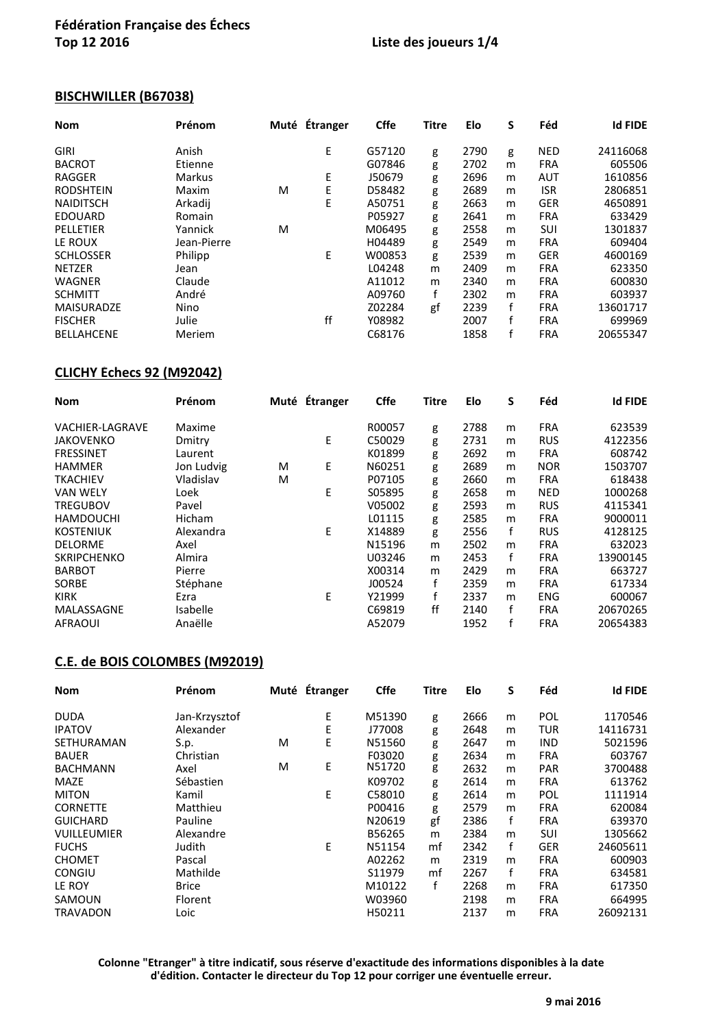## **Liste des joueurs 1/4**

## **BISCHWILLER (B67038)**

| <b>Nom</b>        | Prénom        |   | Muté Étranger | <b>Cffe</b> | <b>Titre</b> | Elo  | S | Féd        | <b>Id FIDE</b> |
|-------------------|---------------|---|---------------|-------------|--------------|------|---|------------|----------------|
| GIRI              | Anish         |   | E             | G57120      | g            | 2790 | g | <b>NED</b> | 24116068       |
| <b>BACROT</b>     | Etienne       |   |               | G07846      | g            | 2702 | m | <b>FRA</b> | 605506         |
| <b>RAGGER</b>     | <b>Markus</b> |   | E             | J50679      | g            | 2696 | m | <b>AUT</b> | 1610856        |
| <b>RODSHTEIN</b>  | Maxim         | M | Ε             | D58482      | g            | 2689 | m | <b>ISR</b> | 2806851        |
| <b>NAIDITSCH</b>  | Arkadij       |   | E             | A50751      | g            | 2663 | m | <b>GER</b> | 4650891        |
| <b>EDOUARD</b>    | Romain        |   |               | P05927      | g            | 2641 | m | <b>FRA</b> | 633429         |
| PELLETIER         | Yannick       | м |               | M06495      | g            | 2558 | m | SUI        | 1301837        |
| LE ROUX           | Jean-Pierre   |   |               | H04489      | g            | 2549 | m | <b>FRA</b> | 609404         |
| <b>SCHLOSSER</b>  | Philipp       |   | E             | W00853      | g            | 2539 | m | <b>GER</b> | 4600169        |
| <b>NETZER</b>     | Jean          |   |               | L04248      | m            | 2409 | m | <b>FRA</b> | 623350         |
| <b>WAGNER</b>     | Claude        |   |               | A11012      | m            | 2340 | m | <b>FRA</b> | 600830         |
| <b>SCHMITT</b>    | André         |   |               | A09760      | f            | 2302 | m | <b>FRA</b> | 603937         |
| <b>MAISURADZE</b> | Nino          |   |               | Z02284      | gf           | 2239 | f | <b>FRA</b> | 13601717       |
| <b>FISCHER</b>    | Julie         |   | ff            | Y08982      |              | 2007 | f | <b>FRA</b> | 699969         |
| <b>BELLAHCENE</b> | Meriem        |   |               | C68176      |              | 1858 |   | <b>FRA</b> | 20655347       |

## **CLICHY Échecs 92 (M92042)**

| <b>Nom</b>             | Prénom     |   | Muté Étranger | <b>Cffe</b> | <b>Titre</b> | Elo  | S | Féd        | <b>Id FIDE</b> |
|------------------------|------------|---|---------------|-------------|--------------|------|---|------------|----------------|
| <b>VACHIER-LAGRAVE</b> | Maxime     |   |               | R00057      | g            | 2788 | m | <b>FRA</b> | 623539         |
| <b>JAKOVENKO</b>       | Dmitry     |   | E             | C50029      | g            | 2731 | m | <b>RUS</b> | 4122356        |
| <b>FRESSINET</b>       | Laurent    |   |               | K01899      | g            | 2692 | m | <b>FRA</b> | 608742         |
| <b>HAMMER</b>          | Jon Ludvig | м | E             | N60251      | g            | 2689 | m | <b>NOR</b> | 1503707        |
| <b>TKACHIEV</b>        | Vladislav  | м |               | P07105      | g            | 2660 | m | <b>FRA</b> | 618438         |
| <b>VAN WELY</b>        | Loek       |   | E             | S05895      | g            | 2658 | m | <b>NED</b> | 1000268        |
| <b>TREGUBOV</b>        | Pavel      |   |               | V05002      | g            | 2593 | m | <b>RUS</b> | 4115341        |
| <b>HAMDOUCHI</b>       | Hicham     |   |               | L01115      | g            | 2585 | m | <b>FRA</b> | 9000011        |
| <b>KOSTENIUK</b>       | Alexandra  |   | E             | X14889      | g            | 2556 | f | <b>RUS</b> | 4128125        |
| <b>DELORME</b>         | Axel       |   |               | N15196      | m            | 2502 | m | <b>FRA</b> | 632023         |
| <b>SKRIPCHENKO</b>     | Almira     |   |               | U03246      | m            | 2453 | f | <b>FRA</b> | 13900145       |
| <b>BARBOT</b>          | Pierre     |   |               | X00314      | m            | 2429 | m | <b>FRA</b> | 663727         |
| <b>SORBE</b>           | Stéphane   |   |               | J00524      | f            | 2359 | m | <b>FRA</b> | 617334         |
| <b>KIRK</b>            | Ezra       |   | E             | Y21999      | f            | 2337 | m | <b>ENG</b> | 600067         |
| MALASSAGNE             | Isabelle   |   |               | C69819      | ff           | 2140 | f | <b>FRA</b> | 20670265       |
| <b>AFRAOUI</b>         | Anaëlle    |   |               | A52079      |              | 1952 |   | <b>FRA</b> | 20654383       |

### **C.E. de BOIS COLOMBES (M92019)**

| <b>Nom</b>         | Prénom        |   | Muté Étranger | <b>Cffe</b> | <b>Titre</b> | Elo  | S | Féd        | <b>Id FIDE</b> |
|--------------------|---------------|---|---------------|-------------|--------------|------|---|------------|----------------|
| <b>DUDA</b>        | Jan-Krzysztof |   | Ε             | M51390      | g            | 2666 | m | POL        | 1170546        |
| <b>IPATOV</b>      | Alexander     |   | E             | J77008      | g            | 2648 | m | <b>TUR</b> | 14116731       |
| <b>SETHURAMAN</b>  | S.p.          | м | Е             | N51560      | g            | 2647 | m | <b>IND</b> | 5021596        |
| <b>BAUER</b>       | Christian     |   |               | F03020      | g            | 2634 | m | <b>FRA</b> | 603767         |
| <b>BACHMANN</b>    | Axel          | м | Ε             | N51720      | g            | 2632 | m | <b>PAR</b> | 3700488        |
| <b>MAZE</b>        | Sébastien     |   |               | K09702      | g            | 2614 | m | <b>FRA</b> | 613762         |
| <b>MITON</b>       | Kamil         |   | E             | C58010      | g            | 2614 | m | <b>POL</b> | 1111914        |
| <b>CORNETTE</b>    | Matthieu      |   |               | P00416      | g            | 2579 | m | <b>FRA</b> | 620084         |
| <b>GUICHARD</b>    | Pauline       |   |               | N20619      | gf           | 2386 | f | <b>FRA</b> | 639370         |
| <b>VUILLEUMIER</b> | Alexandre     |   |               | B56265      | m            | 2384 | m | <b>SUI</b> | 1305662        |
| <b>FUCHS</b>       | Judith        |   | E             | N51154      | mf           | 2342 | f | <b>GER</b> | 24605611       |
| <b>CHOMET</b>      | Pascal        |   |               | A02262      | m            | 2319 | m | <b>FRA</b> | 600903         |
| <b>CONGIU</b>      | Mathilde      |   |               | S11979      | mf           | 2267 | f | <b>FRA</b> | 634581         |
| LE ROY             | <b>Brice</b>  |   |               | M10122      | f            | 2268 | m | <b>FRA</b> | 617350         |
| SAMOUN             | Florent       |   |               | W03960      |              | 2198 | m | <b>FRA</b> | 664995         |
| TRAVADON           | Loic          |   |               | H50211      |              | 2137 | m | <b>FRA</b> | 26092131       |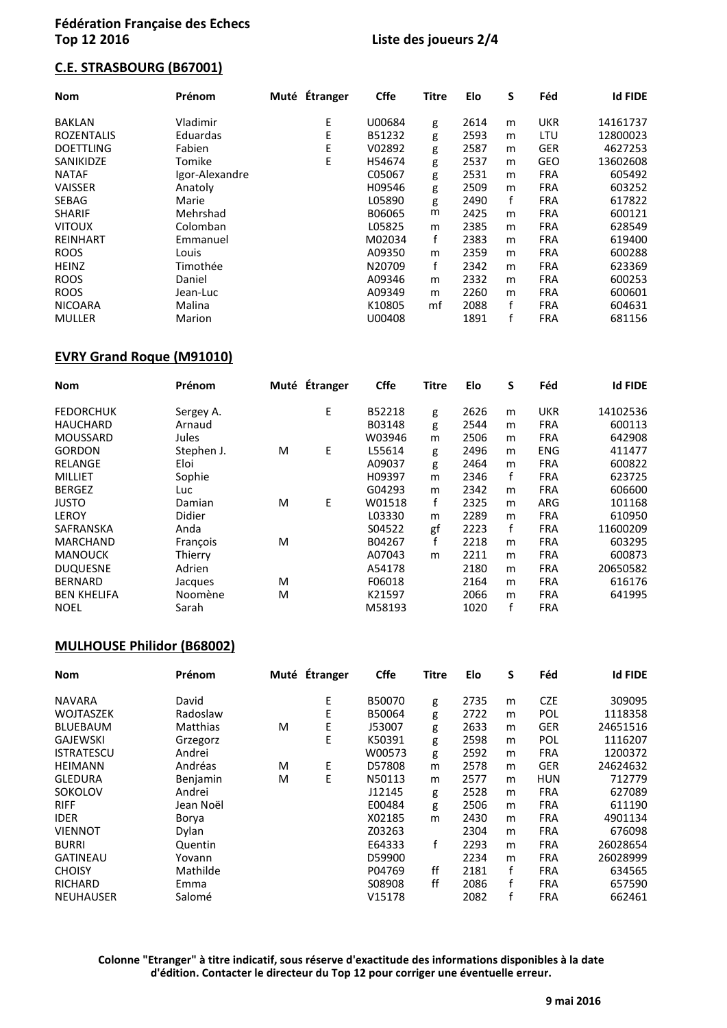### **C.E. STRASBOURG (B67001)**

| <b>Nom</b>        | Prénom         | Muté Étranger | <b>Cffe</b> | <b>Titre</b> | Elo  | S | Féd        | <b>Id FIDE</b> |
|-------------------|----------------|---------------|-------------|--------------|------|---|------------|----------------|
| <b>BAKLAN</b>     | Vladimir       | E             | U00684      | g            | 2614 | m | <b>UKR</b> | 14161737       |
| <b>ROZENTALIS</b> | Eduardas       | E             | B51232      | g            | 2593 | m | LTU        | 12800023       |
| <b>DOETTLING</b>  | Fabien         | E             | V02892      | g            | 2587 | m | <b>GER</b> | 4627253        |
| SANIKIDZE         | Tomike         | E             | H54674      | g            | 2537 | m | <b>GEO</b> | 13602608       |
| <b>NATAF</b>      | Igor-Alexandre |               | C05067      | g            | 2531 | m | <b>FRA</b> | 605492         |
| <b>VAISSER</b>    | Anatoly        |               | H09546      | g            | 2509 | m | <b>FRA</b> | 603252         |
| <b>SEBAG</b>      | Marie          |               | L05890      | g            | 2490 | f | <b>FRA</b> | 617822         |
| <b>SHARIF</b>     | Mehrshad       |               | B06065      | m            | 2425 | m | <b>FRA</b> | 600121         |
| <b>VITOUX</b>     | Colomban       |               | L05825      | m            | 2385 | m | <b>FRA</b> | 628549         |
| <b>REINHART</b>   | Emmanuel       |               | M02034      | f            | 2383 | m | <b>FRA</b> | 619400         |
| <b>ROOS</b>       | Louis          |               | A09350      | m            | 2359 | m | <b>FRA</b> | 600288         |
| <b>HEINZ</b>      | Timothée       |               | N20709      | f            | 2342 | m | <b>FRA</b> | 623369         |
| <b>ROOS</b>       | Daniel         |               | A09346      | m            | 2332 | m | <b>FRA</b> | 600253         |
| <b>ROOS</b>       | Jean-Luc       |               | A09349      | m            | 2260 | m | <b>FRA</b> | 600601         |
| <b>NICOARA</b>    | Malina         |               | K10805      | mf           | 2088 | f | <b>FRA</b> | 604631         |
| <b>MULLER</b>     | Marion         |               | U00408      |              | 1891 | f | <b>FRA</b> | 681156         |

### **EVRY Grand Roque (M91010)**

| <b>Nom</b>         | Prénom     |   | Muté Étranger | <b>Cffe</b> | <b>Titre</b> | Elo  | S            | Féd        | <b>Id FIDE</b> |
|--------------------|------------|---|---------------|-------------|--------------|------|--------------|------------|----------------|
| <b>FEDORCHUK</b>   | Sergey A.  |   | E             | B52218      | g            | 2626 | m            | <b>UKR</b> | 14102536       |
| <b>HAUCHARD</b>    | Arnaud     |   |               | B03148      | g            | 2544 | m            | <b>FRA</b> | 600113         |
| <b>MOUSSARD</b>    | Jules      |   |               | W03946      | m            | 2506 | m            | <b>FRA</b> | 642908         |
| <b>GORDON</b>      | Stephen J. | м | E             | L55614      | g            | 2496 | m            | <b>ENG</b> | 411477         |
| RELANGE            | Eloi       |   |               | A09037      | g            | 2464 | m            | <b>FRA</b> | 600822         |
| <b>MILLIET</b>     | Sophie     |   |               | H09397      | m            | 2346 | $\mathbf{f}$ | <b>FRA</b> | 623725         |
| <b>BERGEZ</b>      | Luc.       |   |               | G04293      | m            | 2342 | m            | <b>FRA</b> | 606600         |
| <b>JUSTO</b>       | Damian     | м | E             | W01518      | f            | 2325 | m            | ARG        | 101168         |
| <b>LEROY</b>       | Didier     |   |               | L03330      | m            | 2289 | m            | <b>FRA</b> | 610950         |
| SAFRANSKA          | Anda       |   |               | S04522      | gf           | 2223 | f            | <b>FRA</b> | 11600209       |
| <b>MARCHAND</b>    | Francois   | м |               | B04267      | f            | 2218 | m            | <b>FRA</b> | 603295         |
| <b>MANOUCK</b>     | Thierry    |   |               | A07043      | m            | 2211 | m            | <b>FRA</b> | 600873         |
| <b>DUQUESNE</b>    | Adrien     |   |               | A54178      |              | 2180 | m            | <b>FRA</b> | 20650582       |
| <b>BERNARD</b>     | Jacques    | м |               | F06018      |              | 2164 | m            | <b>FRA</b> | 616176         |
| <b>BEN KHELIFA</b> | Noomène    | м |               | K21597      |              | 2066 | m            | <b>FRA</b> | 641995         |
| <b>NOEL</b>        | Sarah      |   |               | M58193      |              | 1020 | f            | <b>FRA</b> |                |

### **MULHOUSE Philidor (B68002)**

| <b>Nom</b>        | Prénom    |   | Muté Étranger | <b>Cffe</b> | <b>Titre</b> | Elo  | S | Féd        | <b>Id FIDE</b> |
|-------------------|-----------|---|---------------|-------------|--------------|------|---|------------|----------------|
| <b>NAVARA</b>     | David     |   | Ε             | B50070      | g            | 2735 | m | <b>CZE</b> | 309095         |
| WOJTASZEK         | Radoslaw  |   | E             | B50064      | g            | 2722 | m | POL        | 1118358        |
| <b>BLUEBAUM</b>   | Matthias  | м | Ε             | J53007      | g            | 2633 | m | <b>GER</b> | 24651516       |
| <b>GAJEWSKI</b>   | Grzegorz  |   | E             | K50391      | g            | 2598 | m | POL        | 1116207        |
| <b>ISTRATESCU</b> | Andrei    |   |               | W00573      | g            | 2592 | m | <b>FRA</b> | 1200372        |
| <b>HEIMANN</b>    | Andréas   | M | E             | D57808      | m            | 2578 | m | <b>GER</b> | 24624632       |
| <b>GLEDURA</b>    | Benjamin  | M | E             | N50113      | m            | 2577 | m | <b>HUN</b> | 712779         |
| SOKOLOV           | Andrei    |   |               | J12145      | g            | 2528 | m | <b>FRA</b> | 627089         |
| <b>RIFF</b>       | Jean Noël |   |               | E00484      | g            | 2506 | m | <b>FRA</b> | 611190         |
| <b>IDER</b>       | Borya     |   |               | X02185      | m            | 2430 | m | <b>FRA</b> | 4901134        |
| <b>VIENNOT</b>    | Dylan     |   |               | Z03263      |              | 2304 | m | <b>FRA</b> | 676098         |
| <b>BURRI</b>      | Quentin   |   |               | E64333      | f            | 2293 | m | <b>FRA</b> | 26028654       |
| <b>GATINEAU</b>   | Yovann    |   |               | D59900      |              | 2234 | m | <b>FRA</b> | 26028999       |
| <b>CHOISY</b>     | Mathilde  |   |               | P04769      | ff           | 2181 | f | <b>FRA</b> | 634565         |
| <b>RICHARD</b>    | Emma      |   |               | S08908      | ff           | 2086 | f | <b>FRA</b> | 657590         |
| <b>NEUHAUSER</b>  | Salomé    |   |               | V15178      |              | 2082 | f | <b>FRA</b> | 662461         |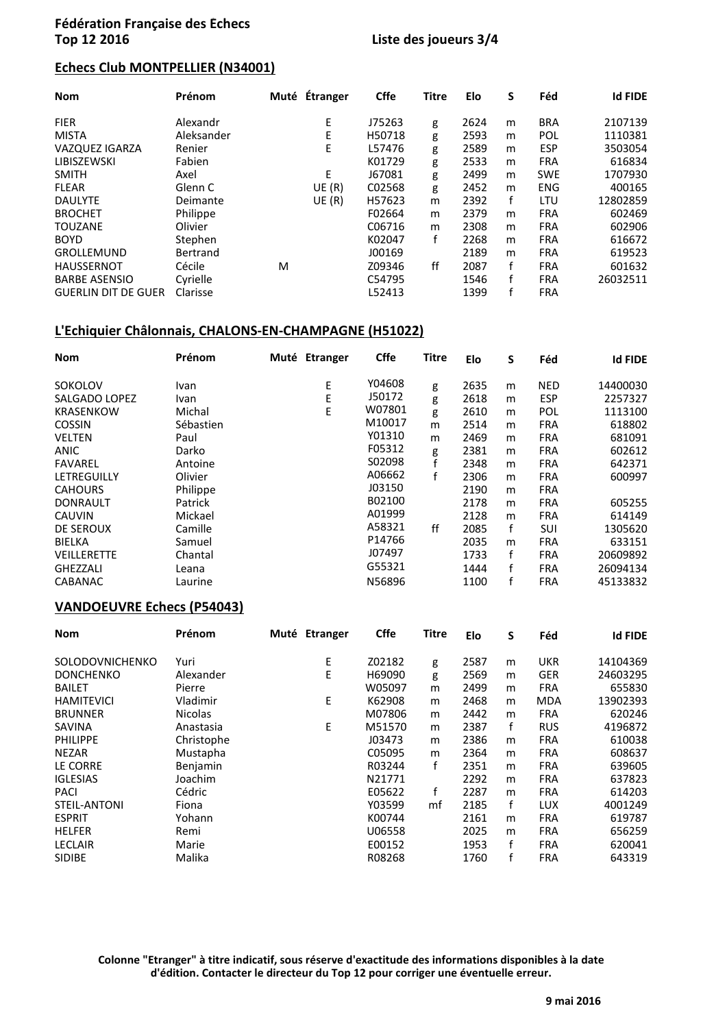### **Echecs Club MONTPELLIER (N34001)**

| <b>Nom</b>                 | Prénom     | Muté Étranger |        | <b>Cffe</b> | <b>Titre</b> | Elo  | S | Féd        | <b>Id FIDE</b> |
|----------------------------|------------|---------------|--------|-------------|--------------|------|---|------------|----------------|
| <b>FIER</b>                | Alexandr   |               | E      | J75263      | g            | 2624 | m | <b>BRA</b> | 2107139        |
| <b>MISTA</b>               | Aleksander |               | E      | H50718      | g            | 2593 | m | POL        | 1110381        |
| <b>VAZQUEZ IGARZA</b>      | Renier     |               | E      | L57476      | g            | 2589 | m | <b>ESP</b> | 3503054        |
| LIBISZEWSKI                | Fabien     |               |        | K01729      | g            | 2533 | m | <b>FRA</b> | 616834         |
| <b>SMITH</b>               | Axel       |               | E      | J67081      | g            | 2499 | m | <b>SWE</b> | 1707930        |
| <b>FLEAR</b>               | Glenn C    |               | UE (R) | C02568      | g            | 2452 | m | <b>ENG</b> | 400165         |
| <b>DAULYTE</b>             | Deimante   |               | UE (R) | H57623      | m            | 2392 | f | LTU        | 12802859       |
| <b>BROCHET</b>             | Philippe   |               |        | F02664      | m            | 2379 | m | <b>FRA</b> | 602469         |
| <b>TOUZANE</b>             | Olivier    |               |        | C06716      | m            | 2308 | m | <b>FRA</b> | 602906         |
| <b>BOYD</b>                | Stephen    |               |        | K02047      | f            | 2268 | m | <b>FRA</b> | 616672         |
| <b>GROLLEMUND</b>          | Bertrand   |               |        | J00169      |              | 2189 | m | <b>FRA</b> | 619523         |
| <b>HAUSSERNOT</b>          | Cécile     | M             |        | Z09346      | ff           | 2087 | f | <b>FRA</b> | 601632         |
| <b>BARBE ASENSIO</b>       | Cyrielle   |               |        | C54795      |              | 1546 | f | <b>FRA</b> | 26032511       |
| <b>GUERLIN DIT DE GUER</b> | Clarisse   |               |        | L52413      |              | 1399 |   | <b>FRA</b> |                |

### **L'Echiquier Châlonnais, CHALONS-EN-CHAMPAGNE (H51022)**

| <b>Nom</b>         | Prénom    | Muté Etranger | <b>Cffe</b> | <b>Titre</b> | Elo  | S | Féd        | <b>Id FIDE</b> |
|--------------------|-----------|---------------|-------------|--------------|------|---|------------|----------------|
| SOKOLOV            | Ivan      | E             | Y04608      | g            | 2635 | m | NED        | 14400030       |
| SALGADO LOPEZ      | Ivan      | E             | J50172      | g            | 2618 | m | <b>ESP</b> | 2257327        |
| <b>KRASENKOW</b>   | Michal    | E             | W07801      | g            | 2610 | m | POL        | 1113100        |
| <b>COSSIN</b>      | Sébastien |               | M10017      | m            | 2514 | m | <b>FRA</b> | 618802         |
| <b>VELTEN</b>      | Paul      |               | Y01310      | m            | 2469 | m | <b>FRA</b> | 681091         |
| <b>ANIC</b>        | Darko     |               | F05312      | g            | 2381 | m | <b>FRA</b> | 602612         |
| <b>FAVAREL</b>     | Antoine   |               | S02098      |              | 2348 | m | <b>FRA</b> | 642371         |
| LETREGUILLY        | Olivier   |               | A06662      |              | 2306 | m | <b>FRA</b> | 600997         |
| <b>CAHOURS</b>     | Philippe  |               | J03150      |              | 2190 | m | <b>FRA</b> |                |
| <b>DONRAULT</b>    | Patrick   |               | B02100      |              | 2178 | m | <b>FRA</b> | 605255         |
| <b>CAUVIN</b>      | Mickael   |               | A01999      |              | 2128 | m | <b>FRA</b> | 614149         |
| <b>DE SEROUX</b>   | Camille   |               | A58321      | ff           | 2085 | f | SUI        | 1305620        |
| <b>BIELKA</b>      | Samuel    |               | P14766      |              | 2035 | m | <b>FRA</b> | 633151         |
| <b>VEILLERETTE</b> | Chantal   |               | J07497      |              | 1733 | f | <b>FRA</b> | 20609892       |
| <b>GHEZZALI</b>    | Leana     |               | G55321      |              | 1444 |   | <b>FRA</b> | 26094134       |
| <b>CABANAC</b>     | Laurine   |               | N56896      |              | 1100 |   | <b>FRA</b> | 45133832       |

#### **VANDOEUVRE Échecs (P54043)**

| <b>Nom</b>          | Prénom         | Muté Étranger | <b>Cffe</b> | <b>Titre</b> | Elo  | S | Féd        | <b>Id FIDE</b> |
|---------------------|----------------|---------------|-------------|--------------|------|---|------------|----------------|
| SOLODOVNICHENKO     | Yuri           | E             | Z02182      | g            | 2587 | m | <b>UKR</b> | 14104369       |
| <b>DONCHENKO</b>    | Alexander      | E             | H69090      | g            | 2569 | m | <b>GER</b> | 24603295       |
| <b>BAILET</b>       | Pierre         |               | W05097      | m            | 2499 | m | <b>FRA</b> | 655830         |
| <b>HAMITEVICI</b>   | Vladimir       | E             | K62908      | m            | 2468 | m | <b>MDA</b> | 13902393       |
| <b>BRUNNER</b>      | <b>Nicolas</b> |               | M07806      | m            | 2442 | m | <b>FRA</b> | 620246         |
| SAVINA              | Anastasia      | E             | M51570      | m            | 2387 | f | <b>RUS</b> | 4196872        |
| <b>PHILIPPE</b>     | Christophe     |               | J03473      | m            | 2386 | m | <b>FRA</b> | 610038         |
| <b>NEZAR</b>        | Mustapha       |               | C05095      | m            | 2364 | m | <b>FRA</b> | 608637         |
| LE CORRE            | Benjamin       |               | R03244      | f            | 2351 | m | <b>FRA</b> | 639605         |
| <b>IGLESIAS</b>     | Joachim        |               | N21771      |              | 2292 | m | <b>FRA</b> | 637823         |
| <b>PACI</b>         | Cédric         |               | E05622      | f            | 2287 | m | <b>FRA</b> | 614203         |
| <b>STEIL-ANTONI</b> | Fiona          |               | Y03599      | mf           | 2185 | f | <b>LUX</b> | 4001249        |
| <b>ESPRIT</b>       | Yohann         |               | K00744      |              | 2161 | m | <b>FRA</b> | 619787         |
| <b>HELFER</b>       | Remi           |               | U06558      |              | 2025 | m | <b>FRA</b> | 656259         |
| <b>LECLAIR</b>      | Marie          |               | E00152      |              | 1953 | f | <b>FRA</b> | 620041         |
| <b>SIDIBE</b>       | Malika         |               | R08268      |              | 1760 | f | <b>FRA</b> | 643319         |